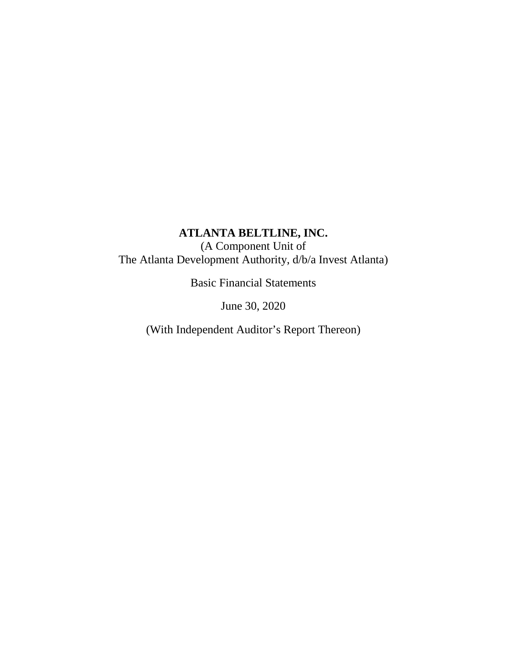# **ATLANTA BELTLINE, INC.**

(A Component Unit of The Atlanta Development Authority, d/b/a Invest Atlanta)

Basic Financial Statements

June 30, 2020

(With Independent Auditor's Report Thereon)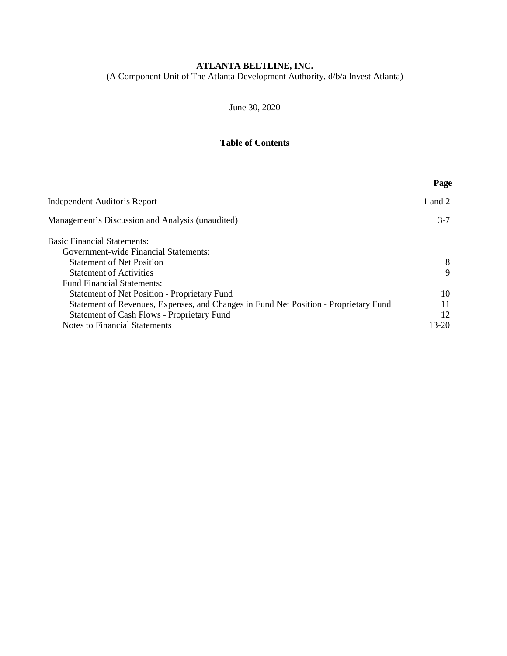# **ATLANTA BELTLINE, INC.**

(A Component Unit of The Atlanta Development Authority, d/b/a Invest Atlanta)

June 30, 2020

# **Table of Contents**

|                                                                                      | Page    |
|--------------------------------------------------------------------------------------|---------|
| <b>Independent Auditor's Report</b>                                                  | 1 and 2 |
| Management's Discussion and Analysis (unaudited)                                     | $3 - 7$ |
| <b>Basic Financial Statements:</b>                                                   |         |
| Government-wide Financial Statements:                                                |         |
| <b>Statement of Net Position</b>                                                     | 8       |
| <b>Statement of Activities</b>                                                       | 9       |
| <b>Fund Financial Statements:</b>                                                    |         |
| <b>Statement of Net Position - Proprietary Fund</b>                                  | 10      |
| Statement of Revenues, Expenses, and Changes in Fund Net Position - Proprietary Fund | 11      |
| <b>Statement of Cash Flows - Proprietary Fund</b>                                    | 12      |
| Notes to Financial Statements                                                        | 13-20   |
|                                                                                      |         |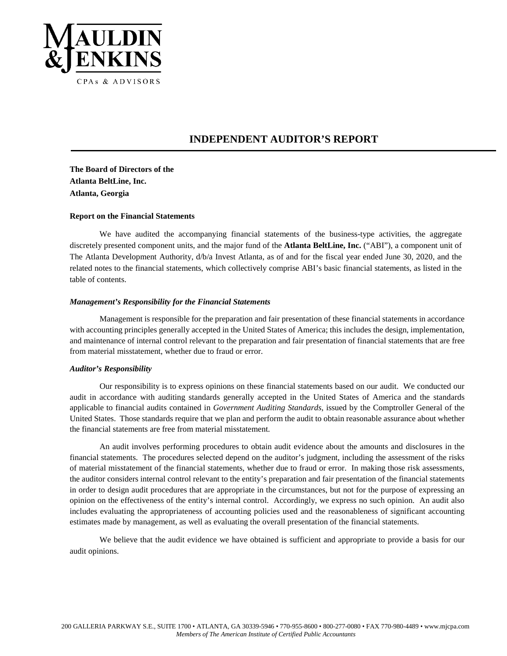

# **INDEPENDENT AUDITOR'S REPORT**

**The Board of Directors of the Atlanta BeltLine, Inc. Atlanta, Georgia**

#### **Report on the Financial Statements**

We have audited the accompanying financial statements of the business-type activities, the aggregate discretely presented component units, and the major fund of the **Atlanta BeltLine, Inc.** ("ABI"), a component unit of The Atlanta Development Authority, d/b/a Invest Atlanta, as of and for the fiscal year ended June 30, 2020, and the related notes to the financial statements, which collectively comprise ABI's basic financial statements, as listed in the table of contents.

#### *Management's Responsibility for the Financial Statements*

Management is responsible for the preparation and fair presentation of these financial statements in accordance with accounting principles generally accepted in the United States of America; this includes the design, implementation, and maintenance of internal control relevant to the preparation and fair presentation of financial statements that are free from material misstatement, whether due to fraud or error.

#### *Auditor's Responsibility*

Our responsibility is to express opinions on these financial statements based on our audit. We conducted our audit in accordance with auditing standards generally accepted in the United States of America and the standards applicable to financial audits contained in *Government Auditing Standards*, issued by the Comptroller General of the United States. Those standards require that we plan and perform the audit to obtain reasonable assurance about whether the financial statements are free from material misstatement.

An audit involves performing procedures to obtain audit evidence about the amounts and disclosures in the financial statements. The procedures selected depend on the auditor's judgment, including the assessment of the risks of material misstatement of the financial statements, whether due to fraud or error. In making those risk assessments, the auditor considers internal control relevant to the entity's preparation and fair presentation of the financial statements in order to design audit procedures that are appropriate in the circumstances, but not for the purpose of expressing an opinion on the effectiveness of the entity's internal control. Accordingly, we express no such opinion. An audit also includes evaluating the appropriateness of accounting policies used and the reasonableness of significant accounting estimates made by management, as well as evaluating the overall presentation of the financial statements.

We believe that the audit evidence we have obtained is sufficient and appropriate to provide a basis for our audit opinions.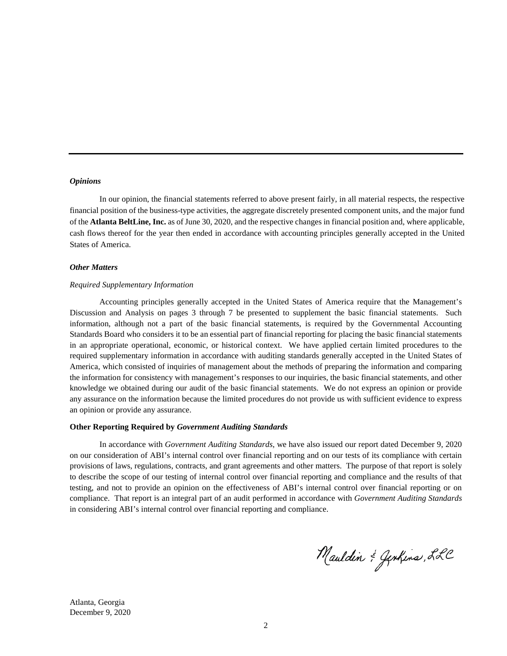#### *Opinions*

In our opinion, the financial statements referred to above present fairly, in all material respects, the respective financial position of the business-type activities, the aggregate discretely presented component units, and the major fund of the **Atlanta BeltLine, Inc.** as of June 30, 2020, and the respective changes in financial position and, where applicable, cash flows thereof for the year then ended in accordance with accounting principles generally accepted in the United States of America.

#### *Other Matters*

#### *Required Supplementary Information*

Accounting principles generally accepted in the United States of America require that the Management's Discussion and Analysis on pages 3 through 7 be presented to supplement the basic financial statements. Such information, although not a part of the basic financial statements, is required by the Governmental Accounting Standards Board who considers it to be an essential part of financial reporting for placing the basic financial statements in an appropriate operational, economic, or historical context. We have applied certain limited procedures to the required supplementary information in accordance with auditing standards generally accepted in the United States of America, which consisted of inquiries of management about the methods of preparing the information and comparing the information for consistency with management's responses to our inquiries, the basic financial statements, and other knowledge we obtained during our audit of the basic financial statements. We do not express an opinion or provide any assurance on the information because the limited procedures do not provide us with sufficient evidence to express an opinion or provide any assurance.

#### **Other Reporting Required by** *Government Auditing Standards*

In accordance with *Government Auditing Standards*, we have also issued our report dated December 9, 2020 on our consideration of ABI's internal control over financial reporting and on our tests of its compliance with certain provisions of laws, regulations, contracts, and grant agreements and other matters. The purpose of that report is solely to describe the scope of our testing of internal control over financial reporting and compliance and the results of that testing, and not to provide an opinion on the effectiveness of ABI's internal control over financial reporting or on compliance. That report is an integral part of an audit performed in accordance with *Government Auditing Standards*  in considering ABI's internal control over financial reporting and compliance.

Mauldin & Jenkins, LLC

Atlanta, Georgia December 9, 2020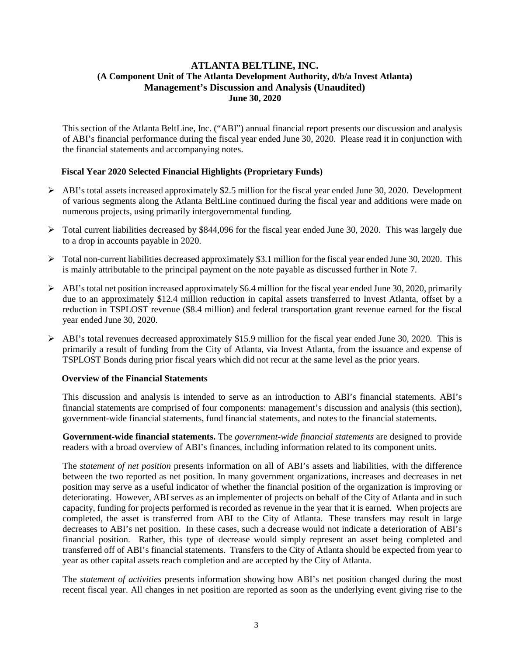This section of the Atlanta BeltLine, Inc. ("ABI") annual financial report presents our discussion and analysis of ABI's financial performance during the fiscal year ended June 30, 2020. Please read it in conjunction with the financial statements and accompanying notes.

### **Fiscal Year 2020 Selected Financial Highlights (Proprietary Funds)**

- $\triangleright$  ABI's total assets increased approximately \$2.5 million for the fiscal year ended June 30, 2020. Development of various segments along the Atlanta BeltLine continued during the fiscal year and additions were made on numerous projects, using primarily intergovernmental funding.
- Total current liabilities decreased by \$844,096 for the fiscal year ended June 30, 2020. This was largely due to a drop in accounts payable in 2020.
- Total non-current liabilities decreased approximately \$3.1 million for the fiscal year ended June 30, 2020. This is mainly attributable to the principal payment on the note payable as discussed further in Note 7.
- $\triangleright$  ABI's total net position increased approximately \$6.4 million for the fiscal year ended June 30, 2020, primarily due to an approximately \$12.4 million reduction in capital assets transferred to Invest Atlanta, offset by a reduction in TSPLOST revenue (\$8.4 million) and federal transportation grant revenue earned for the fiscal year ended June 30, 2020.
- $\triangleright$  ABI's total revenues decreased approximately \$15.9 million for the fiscal year ended June 30, 2020. This is primarily a result of funding from the City of Atlanta, via Invest Atlanta, from the issuance and expense of TSPLOST Bonds during prior fiscal years which did not recur at the same level as the prior years.

### **Overview of the Financial Statements**

This discussion and analysis is intended to serve as an introduction to ABI's financial statements. ABI's financial statements are comprised of four components: management's discussion and analysis (this section), government-wide financial statements, fund financial statements, and notes to the financial statements.

**Government-wide financial statements.** The *government-wide financial statements* are designed to provide readers with a broad overview of ABI's finances, including information related to its component units.

The *statement of net position* presents information on all of ABI's assets and liabilities, with the difference between the two reported as net position. In many government organizations, increases and decreases in net position may serve as a useful indicator of whether the financial position of the organization is improving or deteriorating. However, ABI serves as an implementer of projects on behalf of the City of Atlanta and in such capacity, funding for projects performed is recorded as revenue in the year that it is earned. When projects are completed, the asset is transferred from ABI to the City of Atlanta. These transfers may result in large decreases to ABI's net position. In these cases, such a decrease would not indicate a deterioration of ABI's financial position. Rather, this type of decrease would simply represent an asset being completed and transferred off of ABI's financial statements. Transfers to the City of Atlanta should be expected from year to year as other capital assets reach completion and are accepted by the City of Atlanta.

The *statement of activities* presents information showing how ABI's net position changed during the most recent fiscal year. All changes in net position are reported as soon as the underlying event giving rise to the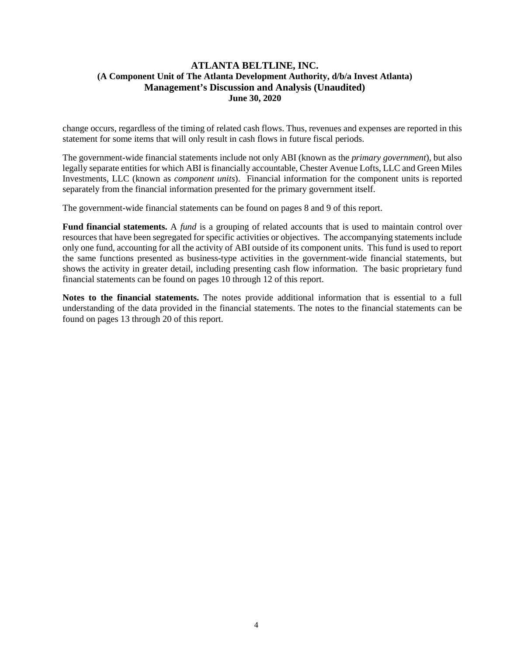change occurs, regardless of the timing of related cash flows. Thus, revenues and expenses are reported in this statement for some items that will only result in cash flows in future fiscal periods.

The government-wide financial statements include not only ABI (known as the *primary government*), but also legally separate entities for which ABI is financially accountable, Chester Avenue Lofts, LLC and Green Miles Investments, LLC (known as *component units*). Financial information for the component units is reported separately from the financial information presented for the primary government itself.

The government-wide financial statements can be found on pages 8 and 9 of this report.

**Fund financial statements.** A *fund* is a grouping of related accounts that is used to maintain control over resources that have been segregated for specific activities or objectives. The accompanying statements include only one fund, accounting for all the activity of ABI outside of its component units. This fund is used to report the same functions presented as business-type activities in the government-wide financial statements, but shows the activity in greater detail, including presenting cash flow information. The basic proprietary fund financial statements can be found on pages 10 through 12 of this report.

**Notes to the financial statements.** The notes provide additional information that is essential to a full understanding of the data provided in the financial statements. The notes to the financial statements can be found on pages 13 through 20 of this report.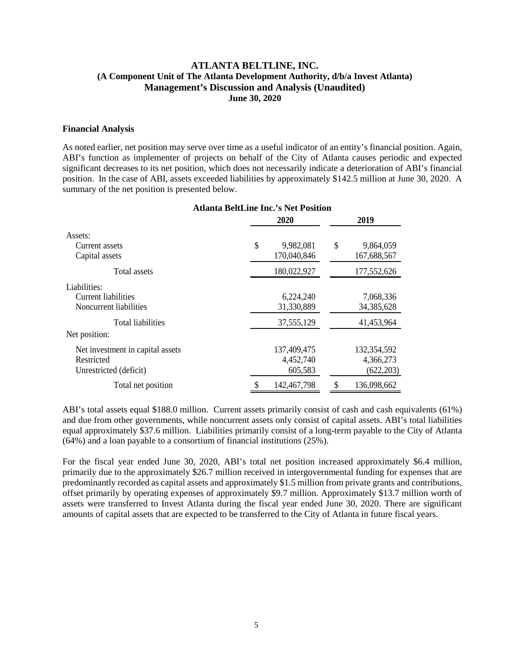#### **Financial Analysis**

As noted earlier, net position may serve over time as a useful indicator of an entity's financial position. Again, ABI's function as implementer of projects on behalf of the City of Atlanta causes periodic and expected significant decreases to its net position, which does not necessarily indicate a deterioration of ABI's financial position. In the case of ABI, assets exceeded liabilities by approximately \$142.5 million at June 30, 2020. A summary of the net position is presented below.

|                                  | 2020              |    | 2019         |  |
|----------------------------------|-------------------|----|--------------|--|
| Assets:                          |                   |    |              |  |
| Current assets                   | \$<br>9,982,081   | \$ | 9,864,059    |  |
| Capital assets                   | 170,040,846       |    | 167,688,567  |  |
| Total assets                     | 180,022,927       |    | 177,552,626  |  |
| Liabilities:                     |                   |    |              |  |
| <b>Current liabilities</b>       | 6,224,240         |    | 7,068,336    |  |
| Noncurrent liabilities           | 31,330,889        |    | 34, 385, 628 |  |
| <b>Total liabilities</b>         | 37,555,129        |    | 41,453,964   |  |
| Net position:                    |                   |    |              |  |
| Net investment in capital assets | 137,409,475       |    | 132,354,592  |  |
| Restricted                       | 4,452,740         |    | 4,366,273    |  |
| Unrestricted (deficit)           | 605,583           |    | (622, 203)   |  |
| Total net position               | \$<br>142,467,798 | \$ | 136,098,662  |  |

### **Atlanta BeltLine Inc.'s Net Position**

ABI's total assets equal \$188.0 million. Current assets primarily consist of cash and cash equivalents (61%) and due from other governments, while noncurrent assets only consist of capital assets. ABI's total liabilities equal approximately \$37.6 million. Liabilities primarily consist of a long-term payable to the City of Atlanta (64%) and a loan payable to a consortium of financial institutions (25%).

For the fiscal year ended June 30, 2020, ABI's total net position increased approximately \$6.4 million, primarily due to the approximately \$26.7 million received in intergovernmental funding for expenses that are predominantly recorded as capital assets and approximately \$1.5 million from private grants and contributions, offset primarily by operating expenses of approximately \$9.7 million. Approximately \$13.7 million worth of assets were transferred to Invest Atlanta during the fiscal year ended June 30, 2020. There are significant amounts of capital assets that are expected to be transferred to the City of Atlanta in future fiscal years.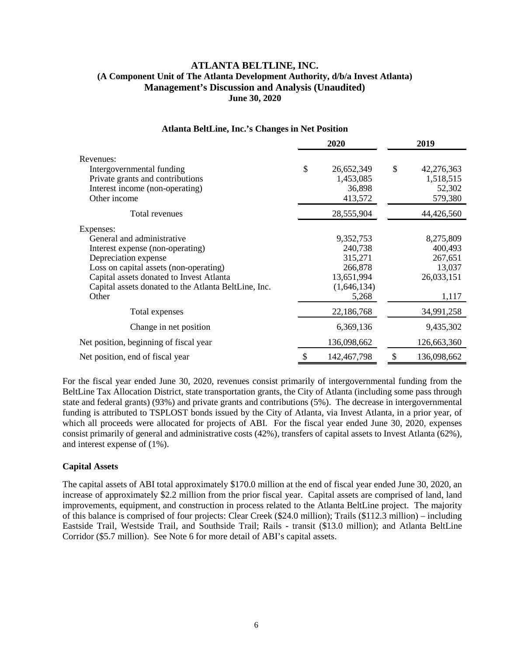|                                                      | 2020 |             | 2019              |
|------------------------------------------------------|------|-------------|-------------------|
| Revenues:                                            |      |             |                   |
| Intergovernmental funding                            | \$   | 26,652,349  | \$<br>42,276,363  |
| Private grants and contributions                     |      | 1,453,085   | 1,518,515         |
| Interest income (non-operating)                      |      | 36,898      | 52,302            |
| Other income                                         |      | 413,572     | 579,380           |
| Total revenues                                       |      | 28,555,904  | 44,426,560        |
| Expenses:                                            |      |             |                   |
| General and administrative                           |      | 9,352,753   | 8,275,809         |
| Interest expense (non-operating)                     |      | 240,738     | 400,493           |
| Depreciation expense                                 |      | 315,271     | 267,651           |
| Loss on capital assets (non-operating)               |      | 266,878     | 13,037            |
| Capital assets donated to Invest Atlanta             |      | 13,651,994  | 26,033,151        |
| Capital assets donated to the Atlanta BeltLine, Inc. |      | (1,646,134) |                   |
| Other                                                |      | 5,268       | 1,117             |
| Total expenses                                       |      | 22,186,768  | 34,991,258        |
| Change in net position                               |      | 6,369,136   | 9,435,302         |
| Net position, beginning of fiscal year               |      | 136,098,662 | 126,663,360       |
| Net position, end of fiscal year                     | \$   | 142,467,798 | \$<br>136,098,662 |

#### **Atlanta BeltLine, Inc.'s Changes in Net Position**

For the fiscal year ended June 30, 2020, revenues consist primarily of intergovernmental funding from the BeltLine Tax Allocation District, state transportation grants, the City of Atlanta (including some pass through state and federal grants) (93%) and private grants and contributions (5%). The decrease in intergovernmental funding is attributed to TSPLOST bonds issued by the City of Atlanta, via Invest Atlanta, in a prior year, of which all proceeds were allocated for projects of ABI. For the fiscal year ended June 30, 2020, expenses consist primarily of general and administrative costs (42%), transfers of capital assets to Invest Atlanta (62%), and interest expense of (1%).

### **Capital Assets**

The capital assets of ABI total approximately \$170.0 million at the end of fiscal year ended June 30, 2020, an increase of approximately \$2.2 million from the prior fiscal year. Capital assets are comprised of land, land improvements, equipment, and construction in process related to the Atlanta BeltLine project. The majority of this balance is comprised of four projects: Clear Creek (\$24.0 million); Trails (\$112.3 million) – including Eastside Trail, Westside Trail, and Southside Trail; Rails - transit (\$13.0 million); and Atlanta BeltLine Corridor (\$5.7 million). See Note 6 for more detail of ABI's capital assets.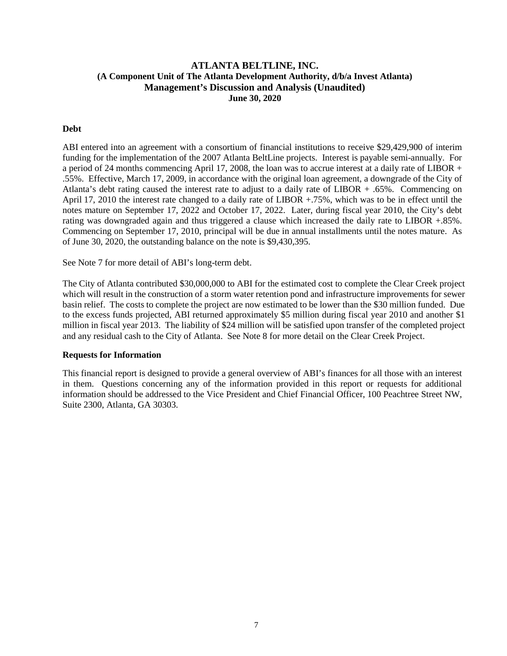### **Debt**

ABI entered into an agreement with a consortium of financial institutions to receive \$29,429,900 of interim funding for the implementation of the 2007 Atlanta BeltLine projects. Interest is payable semi-annually. For a period of 24 months commencing April 17, 2008, the loan was to accrue interest at a daily rate of LIBOR + .55%. Effective, March 17, 2009, in accordance with the original loan agreement, a downgrade of the City of Atlanta's debt rating caused the interest rate to adjust to a daily rate of LIBOR + .65%. Commencing on April 17, 2010 the interest rate changed to a daily rate of LIBOR +.75%, which was to be in effect until the notes mature on September 17, 2022 and October 17, 2022. Later, during fiscal year 2010, the City's debt rating was downgraded again and thus triggered a clause which increased the daily rate to LIBOR +.85%. Commencing on September 17, 2010, principal will be due in annual installments until the notes mature. As of June 30, 2020, the outstanding balance on the note is \$9,430,395.

See Note 7 for more detail of ABI's long-term debt.

The City of Atlanta contributed \$30,000,000 to ABI for the estimated cost to complete the Clear Creek project which will result in the construction of a storm water retention pond and infrastructure improvements for sewer basin relief. The costs to complete the project are now estimated to be lower than the \$30 million funded. Due to the excess funds projected, ABI returned approximately \$5 million during fiscal year 2010 and another \$1 million in fiscal year 2013. The liability of \$24 million will be satisfied upon transfer of the completed project and any residual cash to the City of Atlanta. See Note 8 for more detail on the Clear Creek Project.

### **Requests for Information**

This financial report is designed to provide a general overview of ABI's finances for all those with an interest in them. Questions concerning any of the information provided in this report or requests for additional information should be addressed to the Vice President and Chief Financial Officer, 100 Peachtree Street NW, Suite 2300, Atlanta, GA 30303.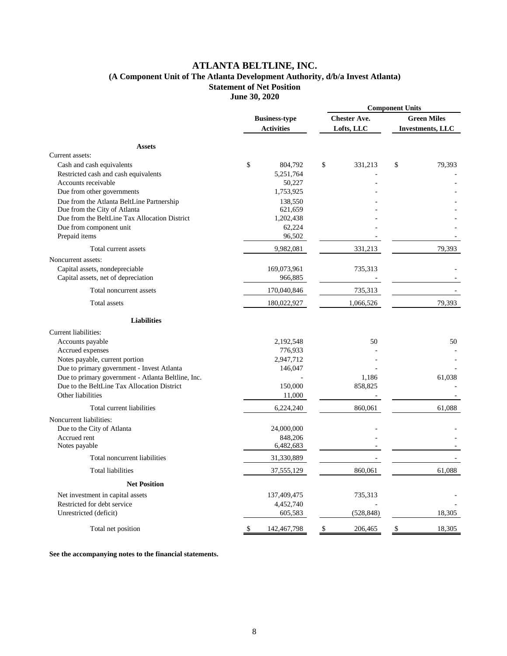# **ATLANTA BELTLINE, INC.**

# **(A Component Unit of The Atlanta Development Authority, d/b/a Invest Atlanta)**

**Statement of Net Position**

**June 30, 2020**

|                                                                           |                      | <b>Component Units</b> |                    |                          |  |  |  |
|---------------------------------------------------------------------------|----------------------|------------------------|--------------------|--------------------------|--|--|--|
|                                                                           | <b>Business-type</b> | <b>Chester Ave.</b>    | <b>Green Miles</b> |                          |  |  |  |
|                                                                           | <b>Activities</b>    | Lofts, LLC             |                    | <b>Investments</b> , LLC |  |  |  |
|                                                                           |                      |                        |                    |                          |  |  |  |
| <b>Assets</b>                                                             |                      |                        |                    |                          |  |  |  |
| Current assets:                                                           |                      |                        |                    |                          |  |  |  |
| Cash and cash equivalents                                                 | \$<br>804,792        | \$<br>331,213          | \$                 | 79,393                   |  |  |  |
| Restricted cash and cash equivalents                                      | 5,251,764            |                        |                    |                          |  |  |  |
| Accounts receivable                                                       | 50,227               |                        |                    |                          |  |  |  |
| Due from other governments                                                | 1,753,925            |                        |                    |                          |  |  |  |
| Due from the Atlanta BeltLine Partnership<br>Due from the City of Atlanta | 138,550<br>621,659   |                        |                    |                          |  |  |  |
| Due from the BeltLine Tax Allocation District                             | 1,202,438            |                        |                    |                          |  |  |  |
| Due from component unit                                                   | 62,224               |                        |                    |                          |  |  |  |
| Prepaid items                                                             | 96,502               |                        |                    |                          |  |  |  |
| Total current assets                                                      | 9,982,081            | 331,213                |                    | 79.393                   |  |  |  |
| Noncurrent assets:                                                        |                      |                        |                    |                          |  |  |  |
| Capital assets, nondepreciable                                            | 169,073,961          | 735,313                |                    |                          |  |  |  |
| Capital assets, net of depreciation                                       | 966,885              |                        |                    |                          |  |  |  |
| Total noncurrent assets                                                   | 170,040,846          | 735,313                |                    |                          |  |  |  |
| <b>Total assets</b>                                                       | 180,022,927          | 1,066,526              |                    | 79,393                   |  |  |  |
| <b>Liabilities</b>                                                        |                      |                        |                    |                          |  |  |  |
| Current liabilities:                                                      |                      |                        |                    |                          |  |  |  |
| Accounts payable                                                          | 2,192,548            | 50                     |                    | 50                       |  |  |  |
| Accrued expenses                                                          | 776,933              |                        |                    |                          |  |  |  |
| Notes payable, current portion                                            | 2,947,712            |                        |                    |                          |  |  |  |
| Due to primary government - Invest Atlanta                                | 146,047              |                        |                    |                          |  |  |  |
| Due to primary government - Atlanta Beltline, Inc.                        |                      | 1,186                  |                    | 61,038                   |  |  |  |
| Due to the BeltLine Tax Allocation District                               | 150,000              | 858,825                |                    |                          |  |  |  |
| Other liabilities                                                         | 11,000               |                        |                    |                          |  |  |  |
| Total current liabilities                                                 | 6,224,240            | 860,061                |                    | 61,088                   |  |  |  |
| Noncurrent liabilities:                                                   |                      |                        |                    |                          |  |  |  |
| Due to the City of Atlanta                                                | 24,000,000           |                        |                    |                          |  |  |  |
| Accrued rent                                                              | 848,206              |                        |                    |                          |  |  |  |
| Notes payable                                                             | 6,482,683            |                        |                    |                          |  |  |  |
| Total noncurrent liabilities                                              | 31,330,889           |                        |                    |                          |  |  |  |
| <b>Total liabilities</b>                                                  | 37,555,129           | 860,061                |                    | 61,088                   |  |  |  |
| <b>Net Position</b>                                                       |                      |                        |                    |                          |  |  |  |
| Net investment in capital assets                                          | 137,409,475          | 735,313                |                    |                          |  |  |  |
| Restricted for debt service                                               | 4,452,740            |                        |                    |                          |  |  |  |
| Unrestricted (deficit)                                                    | 605,583              | (528, 848)             |                    | 18,305                   |  |  |  |
| Total net position                                                        | \$<br>142,467,798    | \$<br>206,465          | \$                 | 18,305                   |  |  |  |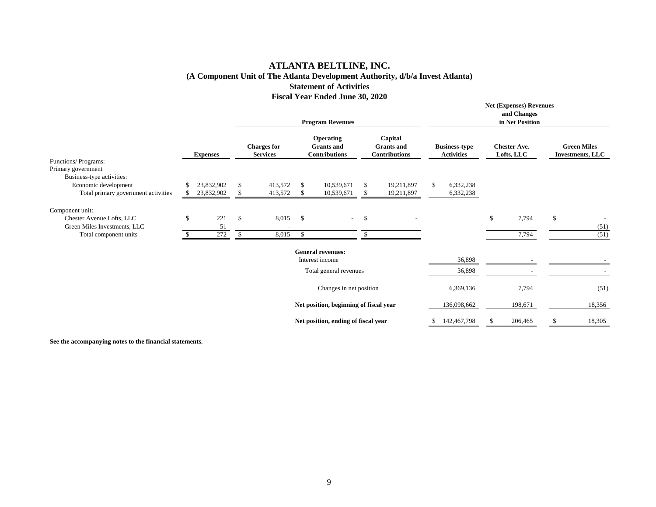### **ATLANTA BELTLINE, INC. (A Component Unit of The Atlanta Development Authority, d/b/a Invest Atlanta) Statement of Activities Fiscal Year Ended June 30, 2020**

|                                                                        |     |            |               |         |    | <b>Program Revenues</b>                     |               |            |                 |             |              | Net (Expenses) Revenues<br>and Changes<br>in Net Position |     |                                       |  |                                                               |  |                                                      |  |                                           |                                   |  |                                        |  |
|------------------------------------------------------------------------|-----|------------|---------------|---------|----|---------------------------------------------|---------------|------------|-----------------|-------------|--------------|-----------------------------------------------------------|-----|---------------------------------------|--|---------------------------------------------------------------|--|------------------------------------------------------|--|-------------------------------------------|-----------------------------------|--|----------------------------------------|--|
|                                                                        |     |            |               |         |    |                                             |               |            | <b>Expenses</b> |             |              |                                                           |     | <b>Charges for</b><br><b>Services</b> |  | <b>Operating</b><br><b>Grants</b> and<br><b>Contributions</b> |  | Capital<br><b>Grants</b> and<br><b>Contributions</b> |  | <b>Business-type</b><br><b>Activities</b> | <b>Chester Ave.</b><br>Lofts, LLC |  | <b>Green Miles</b><br>Investments, LLC |  |
| Functions/Programs:<br>Primary government<br>Business-type activities: |     |            |               |         |    |                                             |               |            |                 |             |              |                                                           |     |                                       |  |                                                               |  |                                                      |  |                                           |                                   |  |                                        |  |
| Economic development                                                   |     | 23,832,902 | \$            | 413,572 | -S | 10,539,671                                  | \$            | 19,211,897 | <sup>\$</sup>   | 6,332,238   |              |                                                           |     |                                       |  |                                                               |  |                                                      |  |                                           |                                   |  |                                        |  |
| Total primary government activities                                    | \$  | 23,832,902 | \$            | 413,572 | \$ | 10,539,671                                  | \$            | 19,211,897 |                 | 6,332,238   |              |                                                           |     |                                       |  |                                                               |  |                                                      |  |                                           |                                   |  |                                        |  |
| Component unit:                                                        |     |            |               |         |    |                                             |               |            |                 |             |              |                                                           |     |                                       |  |                                                               |  |                                                      |  |                                           |                                   |  |                                        |  |
| Chester Avenue Lofts, LLC                                              | \$  | 221        | \$            | 8,015   | \$ | $\sim$                                      | -\$           |            |                 |             | $\mathbb{S}$ | 7,794                                                     | \$  |                                       |  |                                                               |  |                                                      |  |                                           |                                   |  |                                        |  |
| Green Miles Investments, LLC                                           |     | 51         |               |         |    |                                             |               |            |                 |             |              |                                                           |     | (51)                                  |  |                                                               |  |                                                      |  |                                           |                                   |  |                                        |  |
| Total component units                                                  | \$. | 272        | <sup>\$</sup> | 8,015   | -S |                                             | <sup>\$</sup> |            |                 |             |              | 7,794                                                     |     | (51)                                  |  |                                                               |  |                                                      |  |                                           |                                   |  |                                        |  |
|                                                                        |     |            |               |         |    | <b>General revenues:</b><br>Interest income |               |            |                 | 36,898      |              |                                                           |     |                                       |  |                                                               |  |                                                      |  |                                           |                                   |  |                                        |  |
|                                                                        |     |            |               |         |    | Total general revenues                      |               |            |                 | 36,898      |              |                                                           |     |                                       |  |                                                               |  |                                                      |  |                                           |                                   |  |                                        |  |
|                                                                        |     |            |               |         |    |                                             |               |            |                 |             |              |                                                           |     |                                       |  |                                                               |  |                                                      |  |                                           |                                   |  |                                        |  |
|                                                                        |     |            |               |         |    | Changes in net position                     |               |            |                 | 6,369,136   |              | 7,794                                                     |     | (51)                                  |  |                                                               |  |                                                      |  |                                           |                                   |  |                                        |  |
|                                                                        |     |            |               |         |    | Net position, beginning of fiscal year      |               |            |                 | 136,098,662 |              | 198,671                                                   |     | 18,356                                |  |                                                               |  |                                                      |  |                                           |                                   |  |                                        |  |
|                                                                        |     |            |               |         |    | Net position, ending of fiscal year         |               |            | \$              | 142,467,798 |              | 206,465                                                   | Эň, | 18,305                                |  |                                                               |  |                                                      |  |                                           |                                   |  |                                        |  |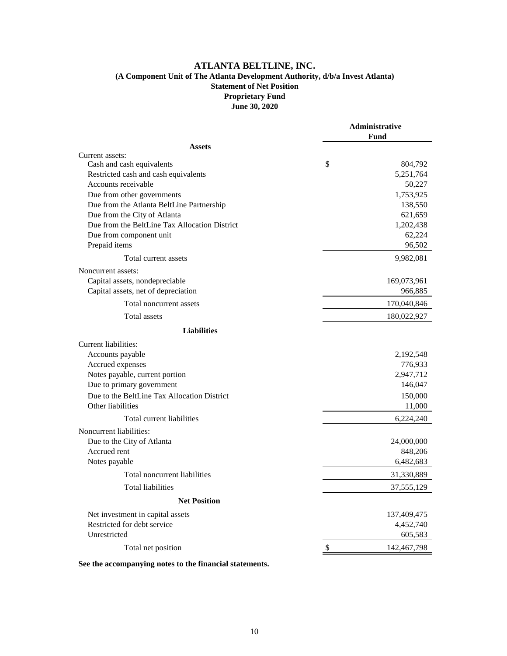### **June 30, 2020 ATLANTA BELTLINE, INC. (A Component Unit of The Atlanta Development Authority, d/b/a Invest Atlanta) Statement of Net Position Proprietary Fund**

|                                               | <b>Administrative</b> |             |  |
|-----------------------------------------------|-----------------------|-------------|--|
|                                               |                       | Fund        |  |
| <b>Assets</b><br>Current assets:              |                       |             |  |
| Cash and cash equivalents                     | \$                    | 804,792     |  |
| Restricted cash and cash equivalents          |                       | 5,251,764   |  |
| Accounts receivable                           |                       | 50,227      |  |
| Due from other governments                    |                       | 1,753,925   |  |
| Due from the Atlanta BeltLine Partnership     |                       | 138,550     |  |
| Due from the City of Atlanta                  |                       | 621,659     |  |
| Due from the BeltLine Tax Allocation District |                       | 1,202,438   |  |
| Due from component unit                       |                       | 62,224      |  |
| Prepaid items                                 |                       | 96,502      |  |
| Total current assets                          |                       | 9,982,081   |  |
| Noncurrent assets:                            |                       |             |  |
| Capital assets, nondepreciable                |                       | 169,073,961 |  |
| Capital assets, net of depreciation           |                       | 966,885     |  |
| Total noncurrent assets                       |                       | 170,040,846 |  |
| Total assets                                  |                       | 180,022,927 |  |
| <b>Liabilities</b>                            |                       |             |  |
| Current liabilities:                          |                       |             |  |
| Accounts payable                              |                       | 2,192,548   |  |
| Accrued expenses                              |                       | 776,933     |  |
| Notes payable, current portion                |                       | 2,947,712   |  |
| Due to primary government                     |                       | 146,047     |  |
| Due to the BeltLine Tax Allocation District   |                       | 150,000     |  |
| Other liabilities                             |                       | 11,000      |  |
| Total current liabilities                     |                       | 6,224,240   |  |
| Noncurrent liabilities:                       |                       |             |  |
| Due to the City of Atlanta                    |                       | 24,000,000  |  |
| Accrued rent                                  |                       | 848,206     |  |
| Notes payable                                 |                       | 6,482,683   |  |
| Total noncurrent liabilities                  |                       | 31,330,889  |  |
| <b>Total liabilities</b>                      |                       | 37,555,129  |  |
| <b>Net Position</b>                           |                       |             |  |
| Net investment in capital assets              |                       | 137,409,475 |  |
| Restricted for debt service                   |                       | 4,452,740   |  |
| Unrestricted                                  |                       | 605,583     |  |
| Total net position                            | \$                    | 142,467,798 |  |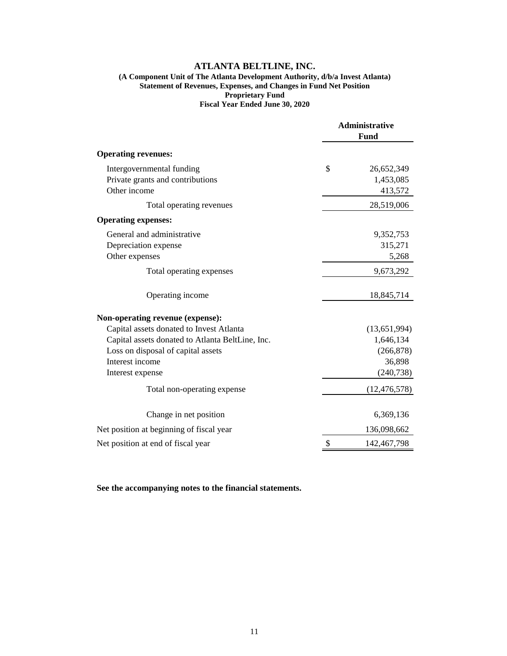### **ATLANTA BELTLINE, INC.**

#### **(A Component Unit of The Atlanta Development Authority, d/b/a Invest Atlanta) Statement of Revenues, Expenses, and Changes in Fund Net Position Proprietary Fund Fiscal Year Ended June 30, 2020**

|                                                                                                                                                                           | <b>Administrative</b><br><b>Fund</b>                            |
|---------------------------------------------------------------------------------------------------------------------------------------------------------------------------|-----------------------------------------------------------------|
| <b>Operating revenues:</b>                                                                                                                                                |                                                                 |
| Intergovernmental funding<br>Private grants and contributions<br>Other income                                                                                             | \$<br>26,652,349<br>1,453,085<br>413,572                        |
| Total operating revenues                                                                                                                                                  | 28,519,006                                                      |
| <b>Operating expenses:</b>                                                                                                                                                |                                                                 |
| General and administrative<br>Depreciation expense<br>Other expenses                                                                                                      | 9,352,753<br>315,271<br>5,268                                   |
| Total operating expenses                                                                                                                                                  | 9,673,292                                                       |
| Operating income                                                                                                                                                          | 18,845,714                                                      |
| Non-operating revenue (expense):                                                                                                                                          |                                                                 |
| Capital assets donated to Invest Atlanta<br>Capital assets donated to Atlanta BeltLine, Inc.<br>Loss on disposal of capital assets<br>Interest income<br>Interest expense | (13,651,994)<br>1,646,134<br>(266, 878)<br>36,898<br>(240, 738) |
| Total non-operating expense                                                                                                                                               | (12, 476, 578)                                                  |
| Change in net position<br>Net position at beginning of fiscal year                                                                                                        | 6,369,136<br>136,098,662                                        |
| Net position at end of fiscal year                                                                                                                                        | \$<br>142,467,798                                               |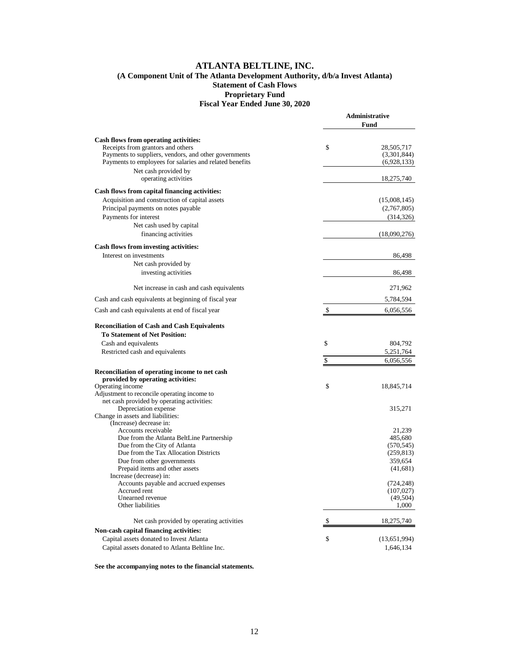### **ATLANTA BELTLINE, INC. (A Component Unit of The Atlanta Development Authority, d/b/a Invest Atlanta) Statement of Cash Flows Fiscal Year Ended June 30, 2020 Proprietary Fund**

|                                                                                                                                     | Administrative<br>Fund |                           |  |
|-------------------------------------------------------------------------------------------------------------------------------------|------------------------|---------------------------|--|
|                                                                                                                                     |                        |                           |  |
| Cash flows from operating activities:<br>Receipts from grantors and others<br>Payments to suppliers, vendors, and other governments | \$                     | 28,505,717<br>(3,301,844) |  |
| Payments to employees for salaries and related benefits<br>Net cash provided by<br>operating activities                             |                        | (6,928,133)<br>18,275,740 |  |
| Cash flows from capital financing activities:                                                                                       |                        |                           |  |
| Acquisition and construction of capital assets                                                                                      |                        | (15,008,145)              |  |
| Principal payments on notes payable                                                                                                 |                        | (2,767,805)               |  |
| Payments for interest                                                                                                               |                        | (314, 326)                |  |
| Net cash used by capital<br>financing activities                                                                                    |                        | (18,090,276)              |  |
| Cash flows from investing activities:                                                                                               |                        |                           |  |
| Interest on investments                                                                                                             |                        | 86,498                    |  |
| Net cash provided by                                                                                                                |                        |                           |  |
| investing activities                                                                                                                |                        | 86,498                    |  |
| Net increase in cash and cash equivalents                                                                                           |                        | 271,962                   |  |
| Cash and cash equivalents at beginning of fiscal year                                                                               |                        | 5,784,594                 |  |
| Cash and cash equivalents at end of fiscal year                                                                                     | \$                     | 6,056,556                 |  |
| <b>Reconciliation of Cash and Cash Equivalents</b><br><b>To Statement of Net Position:</b>                                          |                        |                           |  |
| Cash and equivalents                                                                                                                | \$                     | 804,792                   |  |
| Restricted cash and equivalents                                                                                                     |                        | 5,251,764                 |  |
|                                                                                                                                     | \$                     | 6,056,556                 |  |
| Reconciliation of operating income to net cash                                                                                      |                        |                           |  |
| provided by operating activities:                                                                                                   |                        |                           |  |
| Operating income<br>Adjustment to reconcile operating income to                                                                     | \$                     | 18,845,714                |  |
| net cash provided by operating activities:                                                                                          |                        |                           |  |
| Depreciation expense                                                                                                                |                        | 315,271                   |  |
| Change in assets and liabilities:                                                                                                   |                        |                           |  |
| (Increase) decrease in:<br>Accounts receivable                                                                                      |                        | 21,239                    |  |
| Due from the Atlanta BeltLine Partnership                                                                                           |                        | 485,680                   |  |
| Due from the City of Atlanta                                                                                                        |                        | (570, 545)                |  |
| Due from the Tax Allocation Districts                                                                                               |                        | (259, 813)                |  |
| Due from other governments                                                                                                          |                        | 359,654                   |  |
| Prepaid items and other assets<br>Increase (decrease) in:                                                                           |                        | (41,681)                  |  |
| Accounts payable and accrued expenses                                                                                               |                        | (724, 248)                |  |
| Accrued rent                                                                                                                        |                        | (107, 027)                |  |
| Unearned revenue                                                                                                                    |                        | (49, 504)                 |  |
| Other liabilities                                                                                                                   |                        | 1,000                     |  |
| Net cash provided by operating activities                                                                                           | \$                     | 18,275,740                |  |
| Non-cash capital financing activities:                                                                                              |                        |                           |  |
| Capital assets donated to Invest Atlanta                                                                                            | \$                     | (13,651,994)              |  |
| Capital assets donated to Atlanta Beltline Inc.                                                                                     |                        | 1,646,134                 |  |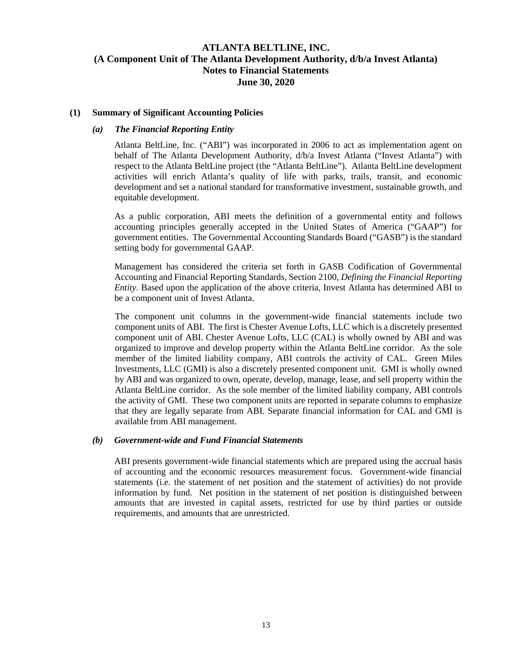### **(1) Summary of Significant Accounting Policies**

### *(a) The Financial Reporting Entity*

Atlanta BeltLine, Inc. ("ABI") was incorporated in 2006 to act as implementation agent on behalf of The Atlanta Development Authority, d/b/a Invest Atlanta ("Invest Atlanta") with respect to the Atlanta BeltLine project (the "Atlanta BeltLine"). Atlanta BeltLine development activities will enrich Atlanta's quality of life with parks, trails, transit, and economic development and set a national standard for transformative investment, sustainable growth, and equitable development.

As a public corporation, ABI meets the definition of a governmental entity and follows accounting principles generally accepted in the United States of America ("GAAP") for government entities. The Governmental Accounting Standards Board ("GASB") is the standard setting body for governmental GAAP.

Management has considered the criteria set forth in GASB Codification of Governmental Accounting and Financial Reporting Standards, Section 2100, *Defining the Financial Reporting Entity*. Based upon the application of the above criteria, Invest Atlanta has determined ABI to be a component unit of Invest Atlanta.

The component unit columns in the government-wide financial statements include two component units of ABI. The first is Chester Avenue Lofts, LLC which is a discretely presented component unit of ABI. Chester Avenue Lofts, LLC (CAL) is wholly owned by ABI and was organized to improve and develop property within the Atlanta BeltLine corridor. As the sole member of the limited liability company, ABI controls the activity of CAL. Green Miles Investments, LLC (GMI) is also a discretely presented component unit. GMI is wholly owned by ABI and was organized to own, operate, develop, manage, lease, and sell property within the Atlanta BeltLine corridor. As the sole member of the limited liability company, ABI controls the activity of GMI. These two component units are reported in separate columns to emphasize that they are legally separate from ABI. Separate financial information for CAL and GMI is available from ABI management.

#### *(b) Government-wide and Fund Financial Statements*

ABI presents government-wide financial statements which are prepared using the accrual basis of accounting and the economic resources measurement focus. Government-wide financial statements (i.e. the statement of net position and the statement of activities) do not provide information by fund. Net position in the statement of net position is distinguished between amounts that are invested in capital assets, restricted for use by third parties or outside requirements, and amounts that are unrestricted.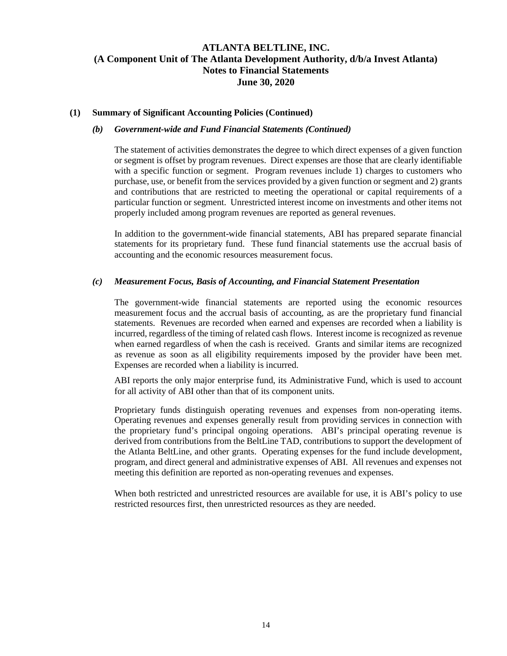### **(1) Summary of Significant Accounting Policies (Continued)**

### *(b) Government-wide and Fund Financial Statements (Continued)*

The statement of activities demonstrates the degree to which direct expenses of a given function or segment is offset by program revenues. Direct expenses are those that are clearly identifiable with a specific function or segment. Program revenues include 1) charges to customers who purchase, use, or benefit from the services provided by a given function or segment and 2) grants and contributions that are restricted to meeting the operational or capital requirements of a particular function or segment. Unrestricted interest income on investments and other items not properly included among program revenues are reported as general revenues.

In addition to the government-wide financial statements, ABI has prepared separate financial statements for its proprietary fund. These fund financial statements use the accrual basis of accounting and the economic resources measurement focus.

### *(c) Measurement Focus, Basis of Accounting, and Financial Statement Presentation*

The government-wide financial statements are reported using the economic resources measurement focus and the accrual basis of accounting, as are the proprietary fund financial statements. Revenues are recorded when earned and expenses are recorded when a liability is incurred, regardless of the timing of related cash flows. Interest income is recognized as revenue when earned regardless of when the cash is received. Grants and similar items are recognized as revenue as soon as all eligibility requirements imposed by the provider have been met. Expenses are recorded when a liability is incurred.

ABI reports the only major enterprise fund, its Administrative Fund, which is used to account for all activity of ABI other than that of its component units.

Proprietary funds distinguish operating revenues and expenses from non-operating items. Operating revenues and expenses generally result from providing services in connection with the proprietary fund's principal ongoing operations. ABI's principal operating revenue is derived from contributions from the BeltLine TAD, contributions to support the development of the Atlanta BeltLine, and other grants. Operating expenses for the fund include development, program, and direct general and administrative expenses of ABI. All revenues and expenses not meeting this definition are reported as non-operating revenues and expenses.

When both restricted and unrestricted resources are available for use, it is ABI's policy to use restricted resources first, then unrestricted resources as they are needed.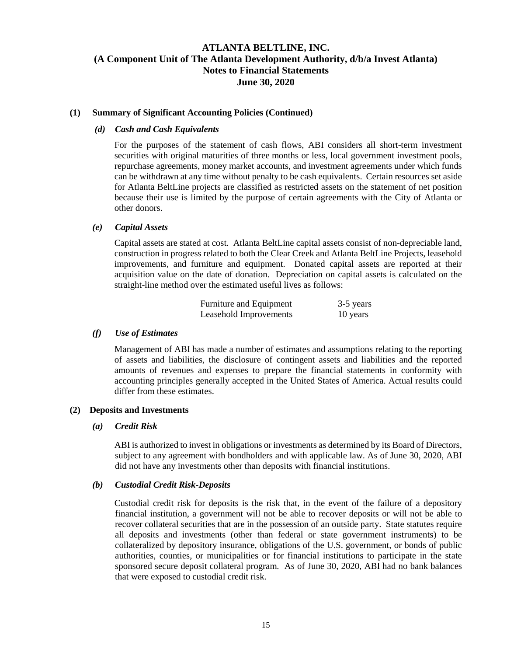### **(1) Summary of Significant Accounting Policies (Continued)**

### *(d) Cash and Cash Equivalents*

For the purposes of the statement of cash flows, ABI considers all short-term investment securities with original maturities of three months or less, local government investment pools, repurchase agreements, money market accounts, and investment agreements under which funds can be withdrawn at any time without penalty to be cash equivalents. Certain resources set aside for Atlanta BeltLine projects are classified as restricted assets on the statement of net position because their use is limited by the purpose of certain agreements with the City of Atlanta or other donors.

### *(e) Capital Assets*

Capital assets are stated at cost. Atlanta BeltLine capital assets consist of non-depreciable land, construction in progress related to both the Clear Creek and Atlanta BeltLine Projects, leasehold improvements, and furniture and equipment. Donated capital assets are reported at their acquisition value on the date of donation. Depreciation on capital assets is calculated on the straight-line method over the estimated useful lives as follows:

| Furniture and Equipment | 3-5 years |
|-------------------------|-----------|
| Leasehold Improvements  | 10 years  |

### *(f) Use of Estimates*

Management of ABI has made a number of estimates and assumptions relating to the reporting of assets and liabilities, the disclosure of contingent assets and liabilities and the reported amounts of revenues and expenses to prepare the financial statements in conformity with accounting principles generally accepted in the United States of America. Actual results could differ from these estimates.

### **(2) Deposits and Investments**

#### *(a) Credit Risk*

ABI is authorized to invest in obligations or investments as determined by its Board of Directors, subject to any agreement with bondholders and with applicable law. As of June 30, 2020, ABI did not have any investments other than deposits with financial institutions.

### *(b) Custodial Credit Risk-Deposits*

Custodial credit risk for deposits is the risk that, in the event of the failure of a depository financial institution, a government will not be able to recover deposits or will not be able to recover collateral securities that are in the possession of an outside party. State statutes require all deposits and investments (other than federal or state government instruments) to be collateralized by depository insurance, obligations of the U.S. government, or bonds of public authorities, counties, or municipalities or for financial institutions to participate in the state sponsored secure deposit collateral program. As of June 30, 2020, ABI had no bank balances that were exposed to custodial credit risk.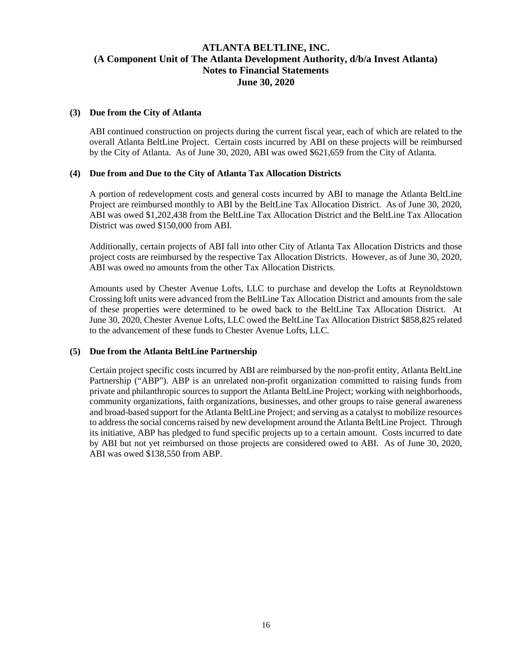### **(3) Due from the City of Atlanta**

ABI continued construction on projects during the current fiscal year, each of which are related to the overall Atlanta BeltLine Project. Certain costs incurred by ABI on these projects will be reimbursed by the City of Atlanta. As of June 30, 2020, ABI was owed \$621,659 from the City of Atlanta.

### **(4) Due from and Due to the City of Atlanta Tax Allocation Districts**

A portion of redevelopment costs and general costs incurred by ABI to manage the Atlanta BeltLine Project are reimbursed monthly to ABI by the BeltLine Tax Allocation District. As of June 30, 2020, ABI was owed \$1,202,438 from the BeltLine Tax Allocation District and the BeltLine Tax Allocation District was owed \$150,000 from ABI.

Additionally, certain projects of ABI fall into other City of Atlanta Tax Allocation Districts and those project costs are reimbursed by the respective Tax Allocation Districts. However, as of June 30, 2020, ABI was owed no amounts from the other Tax Allocation Districts.

Amounts used by Chester Avenue Lofts, LLC to purchase and develop the Lofts at Reynoldstown Crossing loft units were advanced from the BeltLine Tax Allocation District and amounts from the sale of these properties were determined to be owed back to the BeltLine Tax Allocation District. At June 30, 2020, Chester Avenue Lofts, LLC owed the BeltLine Tax Allocation District \$858,825 related to the advancement of these funds to Chester Avenue Lofts, LLC.

#### **(5) Due from the Atlanta BeltLine Partnership**

Certain project specific costs incurred by ABI are reimbursed by the non-profit entity, Atlanta BeltLine Partnership ("ABP"). ABP is an unrelated non-profit organization committed to raising funds from private and philanthropic sources to support the Atlanta BeltLine Project; working with neighborhoods, community organizations, faith organizations, businesses, and other groups to raise general awareness and broad-based support for the Atlanta BeltLine Project; and serving as a catalyst to mobilize resources to address the social concerns raised by new development around the Atlanta BeltLine Project. Through its initiative, ABP has pledged to fund specific projects up to a certain amount. Costs incurred to date by ABI but not yet reimbursed on those projects are considered owed to ABI. As of June 30, 2020, ABI was owed \$138,550 from ABP.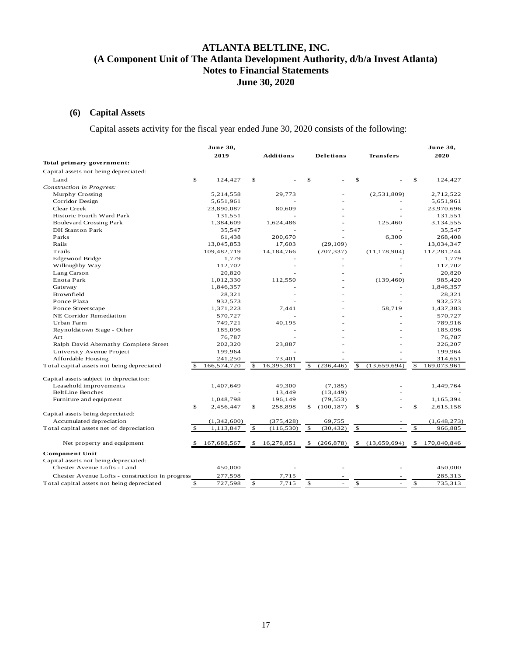### **(6) Capital Assets**

Capital assets activity for the fiscal year ended June 30, 2020 consists of the following:

|                                                 |               | June 30,<br>2019 |              | Additions    |                | <b>Deletions</b> |                          | <b>Transfers</b> |               | June 30,<br>2020 |
|-------------------------------------------------|---------------|------------------|--------------|--------------|----------------|------------------|--------------------------|------------------|---------------|------------------|
| Total primary government:                       |               |                  |              |              |                |                  |                          |                  |               |                  |
| Capital assets not being depreciated:           |               |                  |              |              |                |                  |                          |                  |               |                  |
| Land                                            | \$            | 124,427          | \$           |              | \$             |                  | \$                       |                  | \$            | 124,427          |
| Construction in Progress:                       |               |                  |              |              |                |                  |                          |                  |               |                  |
| Murphy Crossing                                 |               | 5,214,558        |              | 29,773       |                |                  |                          | (2,531,809)      |               | 2,712,522        |
| Corridor Design                                 |               | 5,651,961        |              |              |                |                  |                          |                  |               | 5,651,961        |
| Clear Creek                                     |               | 23,890,087       |              | 80,609       |                |                  |                          |                  |               | 23,970,696       |
| Historic Fourth Ward Park                       |               | 131,551          |              |              |                |                  |                          |                  |               | 131,551          |
| <b>Boulevard Crossing Park</b>                  |               | 1,384,609        |              | 1,624,486    |                |                  |                          | 125,460          |               | 3,134,555        |
| <b>DH</b> Stanton Park                          |               | 35,547           |              |              |                |                  |                          |                  |               | 35,547           |
| Parks                                           |               | 61,438           |              | 200,670      |                |                  |                          | 6,300            |               | 268,408          |
| Rails                                           |               | 13,045,853       |              | 17,603       |                | (29, 109)        |                          |                  |               | 13,034,347       |
| Trails                                          |               | 109,482,719      |              | 14, 184, 766 |                | (207, 337)       |                          | (11, 178, 904)   |               | 112,281,244      |
| Edgewood Bridge                                 |               | 1,779            |              |              |                |                  |                          |                  |               | 1,779            |
| Willoughby Way                                  |               | 112,702          |              |              |                |                  |                          |                  |               | 112,702          |
| Lang Carson                                     |               | 20,820           |              |              |                |                  |                          |                  |               | 20,820           |
| Enota Park                                      |               | 1,012,330        |              | 112,550      |                |                  |                          | (139, 460)       |               | 985,420          |
| Gateway                                         |               | 1,846,357        |              |              |                |                  |                          |                  |               | 1,846,357        |
| Brownfield                                      |               | 28,321           |              |              |                |                  |                          |                  |               | 28,321           |
| Ponce Plaza                                     |               | 932,573          |              |              |                |                  |                          |                  |               | 932,573          |
| Ponce Streetscape                               |               | 1,371,223        |              | 7,441        |                |                  |                          | 58,719           |               | 1,437,383        |
| NE Corridor Remediation                         |               | 570,727          |              |              |                |                  |                          |                  |               | 570,727          |
| Urban Farm                                      |               | 749,721          |              | 40,195       |                |                  |                          |                  |               | 789,916          |
| Reynoldstown Stage - Other                      |               | 185,096          |              |              |                |                  |                          |                  |               | 185,096          |
| Art                                             |               | 76,787           |              |              |                |                  |                          |                  |               | 76,787           |
| Ralph David Abernathy Complete Street           |               | 202,320          |              | 23,887       |                |                  |                          |                  |               | 226,207          |
| University Avenue Project                       |               | 199,964          |              |              |                |                  |                          |                  |               | 199,964          |
| Affordable Housing                              |               | 241,250          |              | 73,401       |                |                  |                          |                  |               | 314,651          |
| Total capital assets not being depreciated      | $\mathbf{s}$  | 166,574,720      | $\mathbf{s}$ | 16,395,381   | \$             | (236, 446)       | \$                       | (13,659,694)     | $\mathbf{s}$  | 169,073,961      |
| Capital assets subject to depreciation:         |               |                  |              |              |                |                  |                          |                  |               |                  |
| Leasehold improvements                          |               | 1,407,649        |              | 49,300       |                | (7, 185)         |                          |                  |               | 1,449,764        |
| <b>BeltLine Benches</b>                         |               |                  |              | 13,449       |                | (13, 449)        |                          |                  |               |                  |
| Furniture and equipment                         |               | 1,048,798        |              | 196,149      |                | (79, 553)        |                          |                  |               | 1,165,394        |
|                                                 | $\mathcal{S}$ | 2,456,447        | $\mathbf{s}$ | 258,898      | \$             | (100, 187)       | $\mathbf{s}$             |                  | $\mathbf{s}$  | 2,615,158        |
| Capital assets being depreciated:               |               |                  |              |              |                |                  |                          |                  |               |                  |
| Accumulated depreciation                        |               | (1,342,600)      |              | (375, 428)   |                | 69,755           |                          |                  |               | (1,648,273)      |
| Total capital assets net of depreciation        | \$            | 1,113,847        | \$           | (116, 530)   | $\mathfrak{S}$ | (30, 432)        | $\overline{\mathcal{F}}$ |                  | \$            | 966,885          |
| Net property and equipment                      | \$            | 167,688,567      | \$           | 16,278,851   | \$             | (266, 878)       | \$                       | (13,659,694)     | <sup>\$</sup> | 170,040,846      |
| <b>Component Unit</b>                           |               |                  |              |              |                |                  |                          |                  |               |                  |
| Capital assets not being depreciated:           |               |                  |              |              |                |                  |                          |                  |               |                  |
| Chester Avenue Lofts - Land                     |               | 450,000          |              |              |                |                  |                          |                  |               | 450,000          |
| Chester Avenue Lofts - construction in progress |               | 277,598          |              | 7,715        |                |                  |                          |                  |               | 285,313          |
| Total capital assets not being depreciated      | \$            | 727,598          | \$           | 7,715        | $\$$           |                  | \$                       |                  | \$            | 735,313          |
|                                                 |               |                  |              |              |                |                  |                          |                  |               |                  |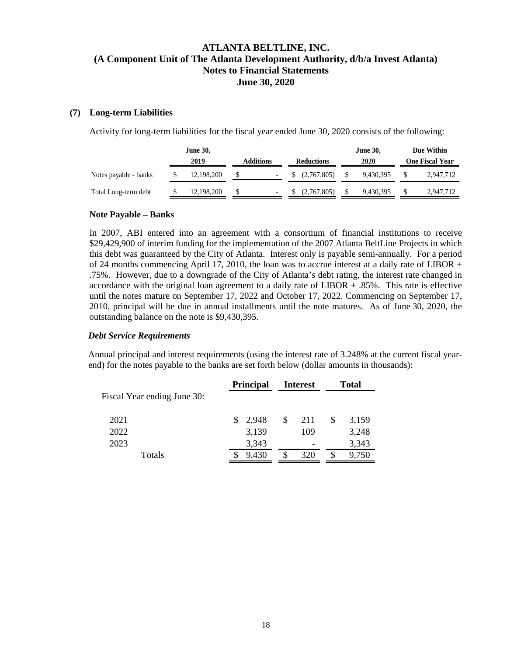### **(7) Long-term Liabilities**

Activity for long-term liabilities for the fiscal year ended June 30, 2020 consists of the following:

|                       | <b>June 30,</b> |                  |  |                   |  | <b>June 30,</b> |                        | Due Within |  |
|-----------------------|-----------------|------------------|--|-------------------|--|-----------------|------------------------|------------|--|
|                       | 2019            | <b>Additions</b> |  | <b>Reductions</b> |  | 2020            | <b>One Fiscal Year</b> |            |  |
| Notes payable - banks | 12,198,200      |                  |  | (2,767,805)       |  | 9,430,395       |                        | 2.947.712  |  |
| Total Long-term debt  | 12,198,200      |                  |  | (2,767,805)       |  | 9,430,395       | \$                     | 2,947,712  |  |

### **Note Payable – Banks**

In 2007, ABI entered into an agreement with a consortium of financial institutions to receive \$29,429,900 of interim funding for the implementation of the 2007 Atlanta BeltLine Projects in which this debt was guaranteed by the City of Atlanta. Interest only is payable semi-annually. For a period of 24 months commencing April 17, 2010, the loan was to accrue interest at a daily rate of LIBOR + .75%. However, due to a downgrade of the City of Atlanta's debt rating, the interest rate changed in accordance with the original loan agreement to a daily rate of LIBOR + .85%. This rate is effective until the notes mature on September 17, 2022 and October 17, 2022. Commencing on September 17, 2010, principal will be due in annual installments until the note matures. As of June 30, 2020, the outstanding balance on the note is \$9,430,395.

### *Debt Service Requirements*

Annual principal and interest requirements (using the interest rate of 3.248% at the current fiscal yearend) for the notes payable to the banks are set forth below (dollar amounts in thousands):

|                             | <b>Principal</b> | <b>Interest</b> | <b>Total</b> |
|-----------------------------|------------------|-----------------|--------------|
| Fiscal Year ending June 30: |                  |                 |              |
| 2021                        | 2,948            | \$<br>211       | 3,159        |
| 2022                        | 3,139            | 109             | 3,248        |
| 2023                        | 3,343            |                 | 3,343        |
| Totals                      | 9,430            | 320<br>S        | 9,750        |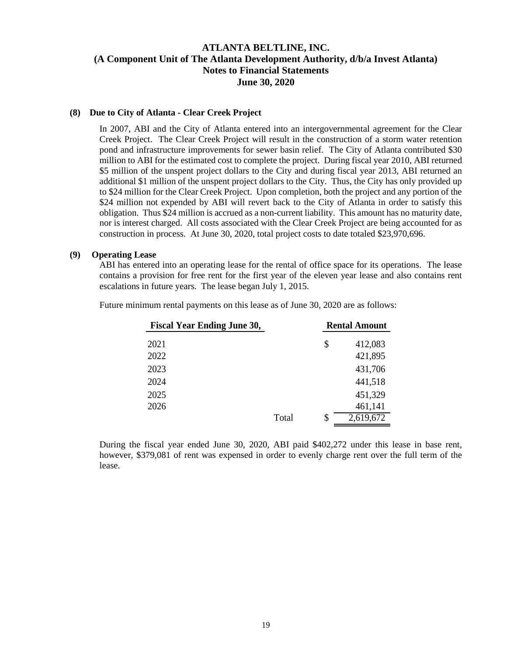#### **(8) Due to City of Atlanta - Clear Creek Project**

In 2007, ABI and the City of Atlanta entered into an intergovernmental agreement for the Clear Creek Project. The Clear Creek Project will result in the construction of a storm water retention pond and infrastructure improvements for sewer basin relief. The City of Atlanta contributed \$30 million to ABI for the estimated cost to complete the project. During fiscal year 2010, ABI returned \$5 million of the unspent project dollars to the City and during fiscal year 2013, ABI returned an additional \$1 million of the unspent project dollars to the City. Thus, the City has only provided up to \$24 million for the Clear Creek Project. Upon completion, both the project and any portion of the \$24 million not expended by ABI will revert back to the City of Atlanta in order to satisfy this obligation. Thus \$24 million is accrued as a non-current liability. This amount has no maturity date, nor is interest charged. All costs associated with the Clear Creek Project are being accounted for as construction in process. At June 30, 2020, total project costs to date totaled \$23,970,696.

### **(9) Operating Lease**

ABI has entered into an operating lease for the rental of office space for its operations. The lease contains a provision for free rent for the first year of the eleven year lease and also contains rent escalations in future years. The lease began July 1, 2015.

| <b>Fiscal Year Ending June 30,</b> |       | <b>Rental Amount</b> |  |
|------------------------------------|-------|----------------------|--|
| 2021                               |       | \$<br>412,083        |  |
| 2022                               |       | 421,895              |  |
| 2023                               |       | 431,706              |  |
| 2024                               |       | 441,518              |  |
| 2025                               |       | 451,329              |  |
| 2026                               |       | 461,141              |  |
|                                    | Total | \$<br>2,619,672      |  |

Future minimum rental payments on this lease as of June 30, 2020 are as follows:

During the fiscal year ended June 30, 2020, ABI paid \$402,272 under this lease in base rent, however, \$379,081 of rent was expensed in order to evenly charge rent over the full term of the lease.